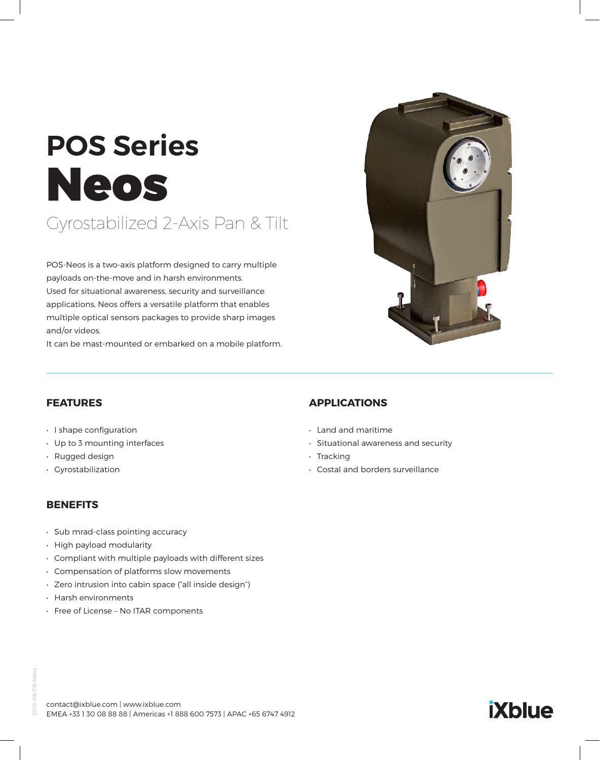# **POS Series** Neos

# Gyrostabilized 2-Axis Pan & Tilt

POS-Neos is a two-axis platform designed to carry multiple payloads on-the-move and in harsh environments. Used for situational awareness, security and surveillance applications, Neos offers a versatile platform that enables multiple optical sensors packages to provide sharp images and/or videos.

It can be mast-mounted or embarked on a mobile platform.



#### **FEATURES**

- I shape configuration
- Up to 3 mounting interfaces
- Rugged design
- Gyrostabilization

#### **BENEFITS**

- Sub mrad-class pointing accuracy
- High payload modularity
- Compliant with multiple payloads with different sizes
- Compensation of platforms slow movements
- Zero intrusion into cabin space ("all inside design")
- Harsh environments
- Free of License No ITAR components

# **APPLICATIONS**

- Land and maritime
- Situational awareness and security
- Tracking
- Costal and borders surveillance